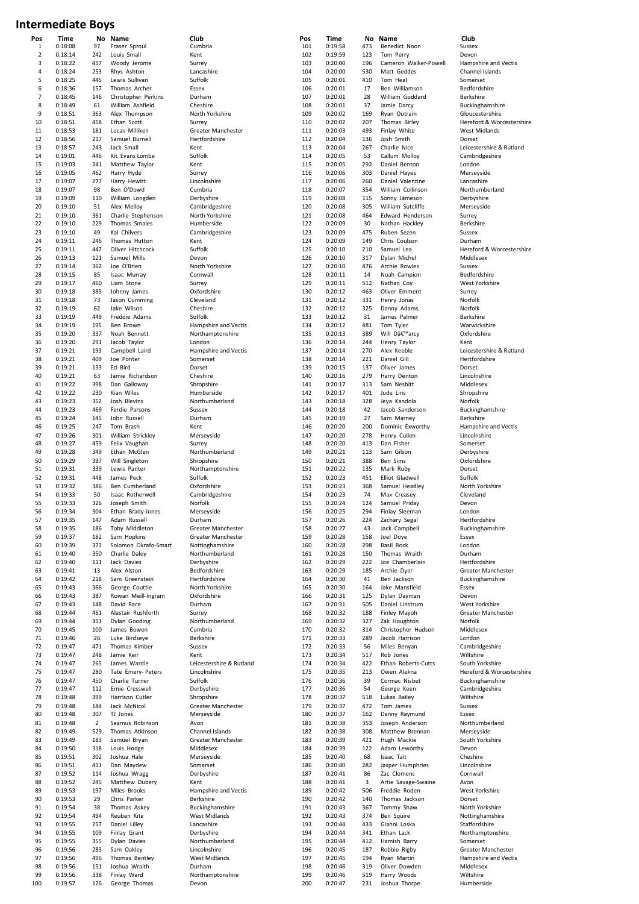## **Intermediate Boys**

| Pos            | Time    | Nο             | Name                 | Club                     | Pos | Time    | Nο  | Name                  | Club                     |
|----------------|---------|----------------|----------------------|--------------------------|-----|---------|-----|-----------------------|--------------------------|
| $\mathbf{1}$   | 0:18:08 | 97             | Fraser Sproul        | Cumbria                  | 101 | 0:19:58 | 473 | Benedict Noon         | Sussex                   |
| $\overline{2}$ | 0:18:14 | 242            | Louis Small          | Kent                     | 102 | 0:19:59 | 123 | Tom Perry             | Devon                    |
| 3              | 0:18:22 | 457            | Woody Jerome         | Surrey                   | 103 | 0:20:00 | 196 | Cameron Walker-Powell | Hampshire and Vectis     |
| 4              | 0:18:24 | 253            | Rhys Ashton          | Lancashire               | 104 | 0:20:00 | 530 | Matt Geddes           | Channel Islands          |
| 5              | 0:18:25 | 445            | Lewis Sullivan       | Suffolk                  | 105 | 0:20:01 | 410 | Tom Heal              | Somerset                 |
| 6              |         |                |                      |                          |     |         |     |                       |                          |
|                | 0:18:36 | 157            | Thomas Archer        | Essex                    | 106 | 0:20:01 | 17  | Ben Williamson        | Bedfordshire             |
| $\overline{7}$ | 0:18:45 | 146            | Christopher Perkins  | Durham                   | 107 | 0:20:01 | 28  | William Goddard       | Berkshire                |
| 8              | 0:18:49 | 61             | William Ashfield     | Cheshire                 | 108 | 0:20:01 | 37  | Jamie Darcy           | Buckinghamshire          |
| 9              | 0:18:51 | 363            | Alex Thompson        | North Yorkshire          | 109 | 0:20:02 | 169 | Ryan Outram           | Gloucestershire          |
| 10             | 0:18:51 | 458            | Ethan Scott          | Surrey                   | 110 | 0:20:02 | 207 | Thomas Birley         | Hereford & Worcestersh   |
| 11             | 0:18:53 | 181            | Lucas Milliken       | Greater Manchester       | 111 | 0:20:03 | 493 | Finlay White          | West Midlands            |
| 12             | 0:18:56 | 217            | Samuel Burnell       | Hertfordshire            | 112 | 0:20:04 | 136 | Josh Smith            | Dorset                   |
| 13             | 0:18:57 | 243            | Jack Small           | Kent                     | 113 | 0:20:04 | 267 | Charlie Nice          | Leicestershire & Rutland |
| 14             | 0:19:01 | 446            | Kit Evans Lombe      | Suffolk                  | 114 | 0:20:05 | 53  | Callum Molloy         | Cambridgeshire           |
|                |         |                |                      |                          |     |         |     |                       |                          |
| 15             | 0:19:03 | 241            | Matthew Taylor       | Kent                     | 115 | 0:20:05 | 292 | Daniel Benton         | London                   |
| 16             | 0:19:05 | 462            | Harry Hyde           | Surrey                   | 116 | 0:20:06 | 303 | Daniel Hayes          | Merseyside               |
| 17             | 0:19:07 | 277            | Harry Hewitt         | Lincolnshire             | 117 | 0:20:06 | 260 | Daniel Valentine      | Lancashire               |
| 18             | 0:19:07 | 98             | Ben O'Dowd           | Cumbria                  | 118 | 0:20:07 | 354 | William Collinson     | Northumberland           |
| 19             | 0:19:09 | 110            | William Longden      | Derbyshire               | 119 | 0:20:08 | 115 | Sonny Jameson         | Derbyshire               |
| 20             | 0:19:10 | 51             | Alex Melloy          | Cambridgeshire           | 120 | 0:20:08 | 305 | William Sutcliffe     | Merseyside               |
| 21             | 0:19:10 | 361            | Charlie Stephenson   | North Yorkshire          | 121 | 0:20:08 | 464 | Edward Henderson      | Surrey                   |
| 22             | 0:19:10 | 229            | Thomas Smales        | Humberside               | 122 | 0:20:09 | 30  | Nathan Hackley        | Berkshire                |
| 23             | 0:19:10 | 49             | Kai Chilvers         |                          | 123 | 0:20:09 | 475 |                       |                          |
|                |         |                |                      | Cambridgeshire           |     |         |     | Ruben Sezen           | Sussex                   |
| 24             | 0:19:11 | 246            | Thomas Hutton        | Kent                     | 124 | 0:20:09 | 149 | Chris Coulson         | Durham                   |
| 25             | 0:19:11 | 447            | Oliver Hitchcock     | Suffolk                  | 125 | 0:20:10 | 210 | Samuel Lea            | Hereford & Worcestersh   |
| 26             | 0:19:13 | 121            | Samuel Mills         | Devon                    | 126 | 0:20:10 | 317 | Dylan Michel          | Middlesex                |
| 27             | 0:19:14 | 362            | Joe O'Brien          | North Yorkshire          | 127 | 0:20:10 | 476 | Archie Rowles         | Sussex                   |
| 28             | 0:19:15 | 85             | Isaac Murray         | Cornwall                 | 128 | 0:20:11 | 14  | Noah Campion          | Bedfordshire             |
| 29             | 0:19:17 | 460            | Liam Stone           | Surrey                   | 129 | 0:20:11 | 512 | Nathan Coy            | West Yorkshire           |
| 30             | 0:19:18 | 385            | Johnny James         | Oxfordshire              | 130 | 0:20:12 | 463 | Oliver Emment         | Surrey                   |
| 31             | 0:19:18 | 73             |                      | Cleveland                | 131 | 0:20:12 | 331 |                       | Norfolk                  |
|                |         |                | Jason Cumming        |                          |     |         |     | Henry Jonas           |                          |
| 32             | 0:19:19 | 62             | Jake Wilson          | Cheshire                 | 132 | 0:20:12 | 325 | Danny Adams           | Norfolk                  |
| 33             | 0:19:19 | 449            | Freddie Adams        | Suffolk                  | 133 | 0:20:12 | 31  | James Palmer          | Berkshire                |
| 34             | 0:19:19 | 195            | Ben Brown            | Hampshire and Vectis     | 134 | 0:20:12 | 481 | Tom Tyler             | Warwickshire             |
| 35             | 0:19:20 | 337            | Noah Bennett         | Northamptonshire         | 135 | 0:20:13 | 389 | Will D'arcy           | Oxfordshire              |
| 36             | 0:19:20 | 291            | Jacob Taylor         | London                   | 136 | 0:20:14 | 244 | Henry Taylor          | Kent                     |
| 37             | 0:19:21 | 193            | Campbell Laird       | Hampshire and Vectis     | 137 | 0:20:14 | 270 | Alex Keeble           | Leicestershire & Rutland |
| 38             | 0:19:21 | 409            | Joe Ponter           | Somerset                 | 138 | 0:20:14 | 221 | Daniel Gill           | Hertfordshire            |
| 39             | 0:19:21 | 133            | Ed Bird              |                          | 139 | 0:20:15 | 137 |                       | Dorset                   |
|                |         |                |                      | Dorset                   |     |         |     | Oliver James          |                          |
| 40             | 0:19:21 | 63             | Jamie Richardson     | Cheshire                 | 140 | 0:20:16 | 279 | Harry Denton          | Lincolnshire             |
| 41             | 0:19:22 | 398            | Dan Galloway         | Shropshire               | 141 | 0:20:17 | 313 | Sam Nesbitt           | Middlesex                |
| 42             | 0:19:22 | 230            | Kian Wiles           | Humberside               | 142 | 0:20:17 | 401 | Jude Lins             | Shropshire               |
| 43             | 0:19:23 | 352            | Josh Blevins         | Northumberland           | 143 | 0:20:18 | 328 | Jeya Kandola          | Norfolk                  |
| 44             | 0:19:23 | 469            | Ferdie Parsons       | Sussex                   | 144 | 0:20:18 | 42  | Jacob Sanderson       | Buckinghamshire          |
| 45             | 0:19:24 | 145            | John Russell         | Durham                   | 145 | 0:20:19 | 27  | Sam Marney            | Berkshire                |
| 46             | 0:19:25 | 247            | Tom Brash            | Kent                     | 146 | 0:20:20 | 200 | Dominic Exworthy      | Hampshire and Vectis     |
| 47             | 0:19:26 | 301            |                      |                          | 147 | 0:20:20 | 278 |                       |                          |
|                |         |                | William Strickley    | Merseyside               |     |         |     | Henry Cullen          | Lincolnshire             |
| 48             | 0:19:27 | 459            | Felix Vaughan        | Surrey                   | 148 | 0:20:20 | 413 | Dan Fisher            | Somerset                 |
| 49             | 0:19:28 | 349            | Ethan McGlen         | Northumberland           | 149 | 0:20:21 | 113 | Sam Gilson            | Derbyshire               |
| 50             | 0:19:29 | 397            | Will Singleton       | Shropshire               | 150 | 0:20:21 | 388 | Ben Sims              | Oxfordshire              |
| 51             | 0:19:31 | 339            | Lewis Panter         | Northamptonshire         | 151 | 0:20:22 | 135 | Mark Ruby             | Dorset                   |
| 52             | 0:19:31 | 448            | James Peck           | Suffolk                  | 152 | 0:20:23 | 451 | Elliot Gladwell       | Suffolk                  |
| 53             | 0:19:32 | 386            | Ben Cumberland       | Oxfordshire              | 153 | 0:20:23 | 368 | Samuel Headley        | North Yorkshire          |
| 54             | 0:19:33 | 50             | Isaac Rotherwell     | Cambridgeshire           | 154 | 0:20:23 | 74  | Max Creasey           | Cleveland                |
| 55             | 0:19:33 | 326            |                      | Norfolk                  | 155 | 0:20:24 | 124 |                       | Devon                    |
|                |         |                | Joseph Smith         |                          |     |         |     | Samuel Priday         |                          |
| 56             | 0:19:34 | 304            | Ethan Brady-Jones    | Merseyside               | 156 | 0:20:25 | 294 | Finlay Sleeman        | London                   |
| 57             | 0:19:35 | 147            | Adam Russell         | Durham                   | 157 | 0:20:26 | 224 | Zachary Segal         | Hertfordshire            |
| 58             | 0:19:35 | 186            | Toby Middleton       | Greater Manchester       | 158 | 0:20:27 | 43  | Jack Campbell         | Buckinghamshire          |
| 59             | 0:19:37 | 182            | Sam Hopkins          | Greater Manchester       | 159 | 0:20:28 | 158 | Joel Doye             | Essex                    |
| 60             | 0:19:39 | 373            | Solomon Okrafo-Smart | Nottinghamshire          | 160 | 0:20:28 | 298 | Basil Rock            | London                   |
| 61             | 0:19:40 | 350            | Charlie Daley        | Northumberland           | 161 | 0:20:28 | 150 | Thomas Wraith         | Durham                   |
| 62             | 0:19:40 | 111            | Jack Davies          | Derbyshire               | 162 | 0:20:29 | 222 | Joe Chamberlain       | Hertfordshire            |
|                |         |                | Alex Alston          |                          |     |         |     |                       |                          |
| 63             | 0:19:41 | 13             |                      | Bedfordshire             | 163 | 0:20:29 | 185 | Archie Dyer           | Greater Manchester       |
| 64             | 0:19:42 | 218            | Sam Greenstein       | Hertfordshire            | 164 | 0:20:30 | 41  | Ben Jackson           | Buckinghamshire          |
| 65             | 0:19:43 | 366            | George Couttie       | North Yorkshire          | 165 | 0:20:30 | 164 | Jake Mansfield        | Essex                    |
| 66             | 0:19:43 | 387            | Rowan Meill-Ingram   | Oxfordshire              | 166 | 0:20:31 | 125 | Dylan Dayman          | Devon                    |
| 67             | 0:19:43 | 148            | David Race           | Durham                   | 167 | 0:20:31 | 505 | Daniel Linstrum       | West Yorkshire           |
| 68             | 0:19:44 | 461            | Alastair Rushforth   | Surrey                   | 168 | 0:20:32 | 188 | Finley Mayoh          | Greater Manchester       |
| 69             | 0:19:44 | 351            | Dylan Gooding        | Northumberland           | 169 | 0:20:32 | 327 | Zak Houghton          | Norfolk                  |
| 70             | 0:19:45 | 100            | James Bowen          | Cumbria                  | 170 | 0:20:32 | 314 | Christopher Hudson    | Middlesex                |
| 71             | 0:19:46 | 26             | Luke Birdseye        | Berkshire                | 171 | 0:20:33 | 289 | Jacob Harrison        | London                   |
| 72             | 0:19:47 | 471            | Thomas Kimber        | Sussex                   | 172 | 0:20:33 | 56  | Miles Benyan          | Cambridgeshire           |
|                |         |                |                      |                          |     |         |     |                       |                          |
| 73             | 0:19:47 | 248            | Jamie Keir           | Kent                     | 173 | 0:20:34 | 517 | Rob Jones             | Wiltshire                |
| 74             | 0:19:47 | 265            | James Wardle         | Leicestershire & Rutland | 174 | 0:20:34 | 422 | Ethan Roberts-Cutts   | South Yorkshire          |
| 75             | 0:19:47 | 280            | Tate Emery- Peters   | Lincolnshire             | 175 | 0:20:35 | 213 | Owen Alekna           | Hereford & Worcestersh   |
| 76             | 0:19:47 | 450            | Charlie Turner       | Suffolk                  | 176 | 0:20:36 | 39  | Cormac Nisbet         | Buckinghamshire          |
| 77             | 0:19:47 | 112            | Ernie Cresswell      | Derbyshire               | 177 | 0:20:36 | 54  | George Keen           | Cambridgeshire           |
| 78             | 0:19:48 | 399            | Harrison Cutler      | Shropshire               | 178 | 0:20:37 | 518 | Lukas Bailey          | Wiltshire                |
| 79             | 0:19:48 | 184            | Jack McNicol         | Greater Manchester       | 179 | 0:20:37 | 472 | Tom James             | Sussex                   |
|                |         |                |                      |                          |     |         |     |                       |                          |
| 80             | 0:19:48 | 307            | TJ Jones             | Merseyside               | 180 | 0:20:37 | 162 | Danny Raymund         | Essex                    |
| 81             | 0:19:48 | $\overline{2}$ | Seamus Robinson      | Avon                     | 181 | 0:20:38 | 353 | Joseph Anderson       | Northumberland           |
| 82             | 0:19:49 | 529            | Thomas Atkinson      | Channel Islands          | 182 | 0:20:38 | 308 | Matthew Brennan       | Merseyside               |
| 83             | 0:19:49 | 183            | Samuel Bryan         | Greater Manchester       | 183 | 0:20:39 | 421 | Hugh Mackie           | South Yorkshire          |
| 84             | 0:19:50 | 318            | Louis Hodge          | Middlesex                | 184 | 0:20:39 | 122 | Adam Leworthy         | Devon                    |
| 85             | 0:19:51 | 302            | Joshua Hale          | Merseyside               | 185 | 0:20:40 | 68  | Isaac Tait            | Cheshire                 |
| 86             | 0:19:51 | 411            | Dan Maydew           | Somerset                 | 186 | 0:20:40 | 282 | Jasper Humphries      | Lincolnshire             |
|                |         | 114            |                      |                          |     |         |     |                       |                          |
| 87             | 0:19:52 |                | Joshua Wragg         | Derbyshire               | 187 | 0:20:41 | 86  | Zac Clemens           | Cornwall                 |
| 88             | 0:19:52 | 245            | Matthew Dubery       | Kent                     | 188 | 0:20:41 | 3   | Artie Savage-Swaine   | Avon                     |
| 89             | 0:19:53 | 197            | Miles Brooks         | Hampshire and Vectis     | 189 | 0:20:42 | 506 | Freddie Roden         | West Yorkshire           |
| 90             | 0:19:53 | 29             | Chris Parker         | Berkshire                | 190 | 0:20:42 | 140 | Thomas Jackson        | Dorset                   |
| 91             | 0:19:54 | 38             | Thomas Askey         | Buckinghamshire          | 191 | 0:20:43 | 367 | Tommy Shaw            | North Yorkshire          |
| 92             | 0:19:54 | 494            | Reuben Kite          | <b>West Midlands</b>     | 192 | 0:20:43 | 374 | Ben Squire            | Nottinghamshire          |
| 93             | 0:19:55 | 257            | Daniel Lilley        | Lancashire               | 193 | 0:20:44 | 433 | Gianni Loska          | Staffordshire            |
|                |         |                |                      |                          |     |         |     |                       |                          |
| 94             | 0:19:55 | 109            | Finlay Grant         | Derbyshire               | 194 | 0:20:44 | 341 | Ethan Lack            | Northamptonshire         |
| 95             | 0:19:55 | 355            | Dylan Davies         | Northumberland           | 195 | 0:20:44 | 412 | Hamish Barry          | Somerset                 |
| 96             | 0:19:56 | 283            | Sam Oakley           | Lincolnshire             | 196 | 0:20:45 | 187 | Robbie Rigby          | Greater Manchester       |
| 97             | 0:19:56 | 496            | Thomas Bentley       | <b>West Midlands</b>     | 197 | 0:20:45 | 194 | Ryan Martin           | Hampshire and Vectis     |
| 98             | 0:19:56 | 151            | Joshua Wraith        | Durham                   | 198 | 0:20:46 | 319 | Oliver Dowden         | Middlesex                |
| 99             | 0:19:56 | 338            | Finlay Ward          | Northamptonshire         | 199 | 0:20:46 | 519 | Harry Woods           | Wiltshire                |
| 100            | 0:19:57 | 126            | George Thomas        | Devon                    | 200 | 0:20:47 | 231 | Joshua Thorpe         | Humberside               |
|                |         |                |                      |                          |     |         |     |                       |                          |

estershire estershire estershire